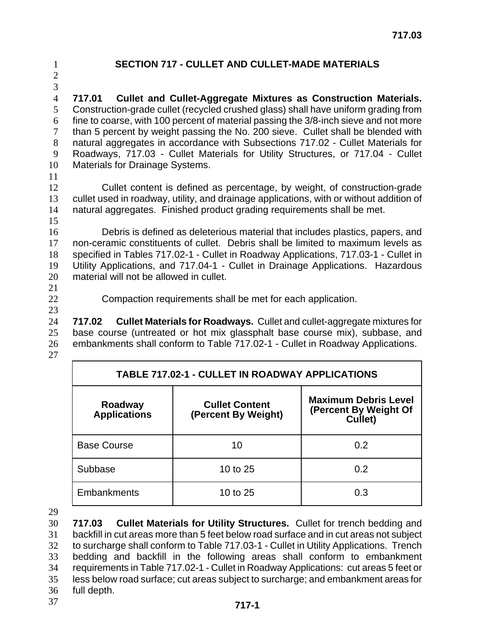**SECTION 717 - CULLET AND CULLET-MADE MATERIALS** 

**717.01 Cullet and Cullet-Aggregate Mixtures as Construction Materials.** Construction-grade cullet (recycled crushed glass) shall have uniform grading from fine to coarse, with 100 percent of material passing the 3/8-inch sieve and not more than 5 percent by weight passing the No. 200 sieve. Cullet shall be blended with natural aggregates in accordance with Subsections 717.02 - Cullet Materials for Roadways, 717.03 - Cullet Materials for Utility Structures, or 717.04 - Cullet Materials for Drainage Systems.

Cullet content is defined as percentage, by weight, of construction-grade cullet used in roadway, utility, and drainage applications, with or without addition of natural aggregates. Finished product grading requirements shall be met. 

Debris is defined as deleterious material that includes plastics, papers, and non-ceramic constituents of cullet. Debris shall be limited to maximum levels as specified in Tables 717.02-1 - Cullet in Roadway Applications, 717.03-1 - Cullet in Utility Applications, and 717.04-1 - Cullet in Drainage Applications. Hazardous material will not be allowed in cullet.

Compaction requirements shall be met for each application.

**717.02 Cullet Materials for Roadways.** Cullet and cullet-aggregate mixtures for base course (untreated or hot mix glassphalt base course mix), subbase, and embankments shall conform to Table 717.02-1 - Cullet in Roadway Applications.

| <b>TABLE 717.02-1 - CULLET IN ROADWAY APPLICATIONS</b> |                                              |                                                                 |  |  |
|--------------------------------------------------------|----------------------------------------------|-----------------------------------------------------------------|--|--|
| Roadway<br><b>Applications</b>                         | <b>Cullet Content</b><br>(Percent By Weight) | <b>Maximum Debris Level</b><br>(Percent By Weight Of<br>Cullet) |  |  |
| <b>Base Course</b>                                     | 10                                           | 0.2                                                             |  |  |
| Subbase                                                | 10 to 25                                     | 0.2                                                             |  |  |
| <b>Embankments</b>                                     | 10 to 25                                     | 0.3                                                             |  |  |

**717.03 Cullet Materials for Utility Structures.** Cullet for trench bedding and backfill in cut areas more than 5 feet below road surface and in cut areas not subject to surcharge shall conform to Table 717.03-1 - Cullet in Utility Applications. Trench bedding and backfill in the following areas shall conform to embankment requirements in Table 717.02-1 - Cullet in Roadway Applications: cut areas 5 feet or less below road surface; cut areas subject to surcharge; and embankment areas for full depth.